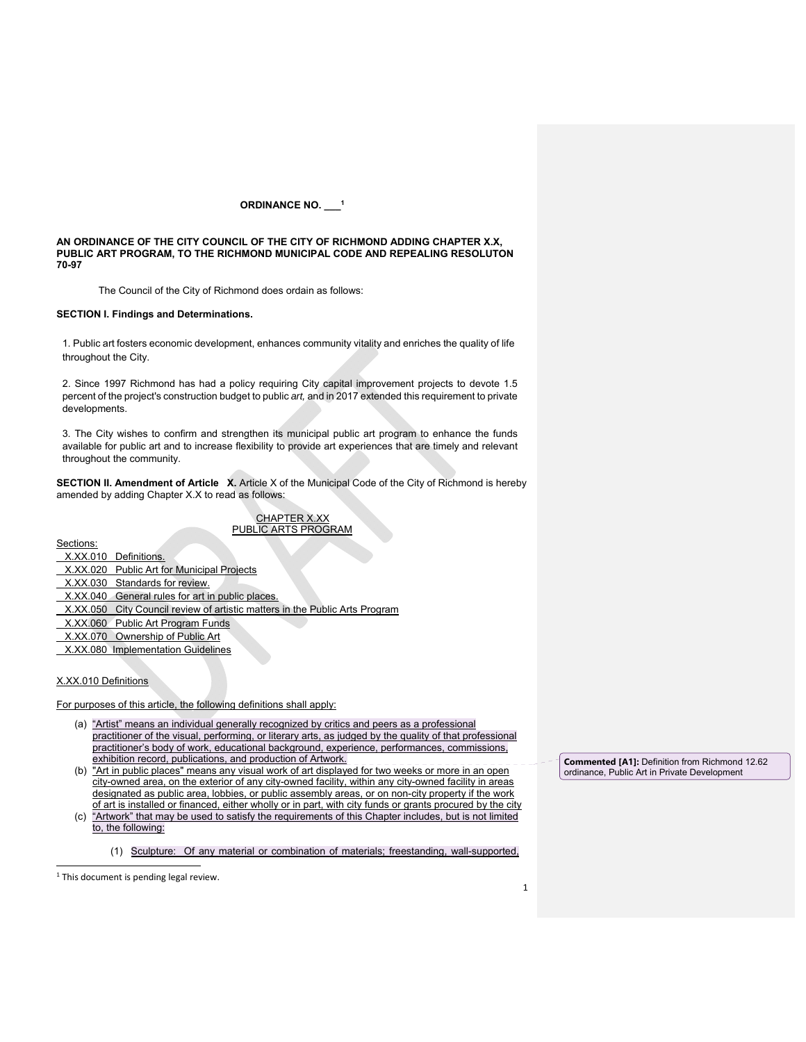# **ORDINANCE NO. \_\_\_1**

**AN ORDINANCE OF THE CITY COUNCIL OF THE CITY OF RICHMOND ADDING CHAPTER X.X, PUBLIC ART PROGRAM, TO THE RICHMOND MUNICIPAL CODE AND REPEALING RESOLUTON 70-97** 

The Council of the City of Richmond does ordain as follows:

### **SECTION I. Findings and Determinations.**

1. Public art fosters economic development, enhances community vitality and enriches the quality of life throughout the City.

2. Since 1997 Richmond has had a policy requiring City capital improvement projects to devote 1.5 percent of the project's construction budget to public *art,* and in 2017 extended this requirement to private developments.

3. The City wishes to confirm and strengthen its municipal public art program to enhance the funds available for public art and to increase flexibility to provide art experiences that are timely and relevant throughout the community.

**SECTION II. Amendment of Article X.** Article X of the Municipal Code of the City of Richmond is hereby amended by adding Chapter X.X to read as follows:

# CHAPTER X.XX PUBLIC ARTS PROGRAM

Sections:

- X.XX.010 Definitions.
- X.XX.020 Public Art for Municipal Projects
- X.XX.030 Standards for review.
- X.XX.040 General rules for art in public places.
- X.XX.050 City Council review of artistic matters in the Public Arts Program
- X.XX.060 Public Art Program Funds
- X.XX.070 Ownership of Public Art
- X.XX.080 Implementation Guidelines

# X.XX.010 Definitions

For purposes of this article, the following definitions shall apply:

- (a) "Artist" means an individual generally recognized by critics and peers as a professional practitioner of the visual, performing, or literary arts, as judged by the quality of that professional practitioner's body of work, educational background, experience, performances, commissions, exhibition record, publications, and production of Artwork.
- (b) "Art in public places" means any visual work of art displayed for two weeks or more in an open city-owned area, on the exterior of any city-owned facility, within any city-owned facility in areas designated as public area, lobbies, or public assembly areas, or on non-city property if the work of art is installed or financed, either wholly or in part, with city funds or grants procured by the city
- (c) "Artwork" that may be used to satisfy the requirements of this Chapter includes, but is not limited to, the following:

(1) Sculpture: Of any material or combination of materials; freestanding, wall-supported,

 <sup>1</sup> This document is pending legal review.

**Commented [A1]:** Definition from Richmond 12.62 ordinance, Public Art in Private Development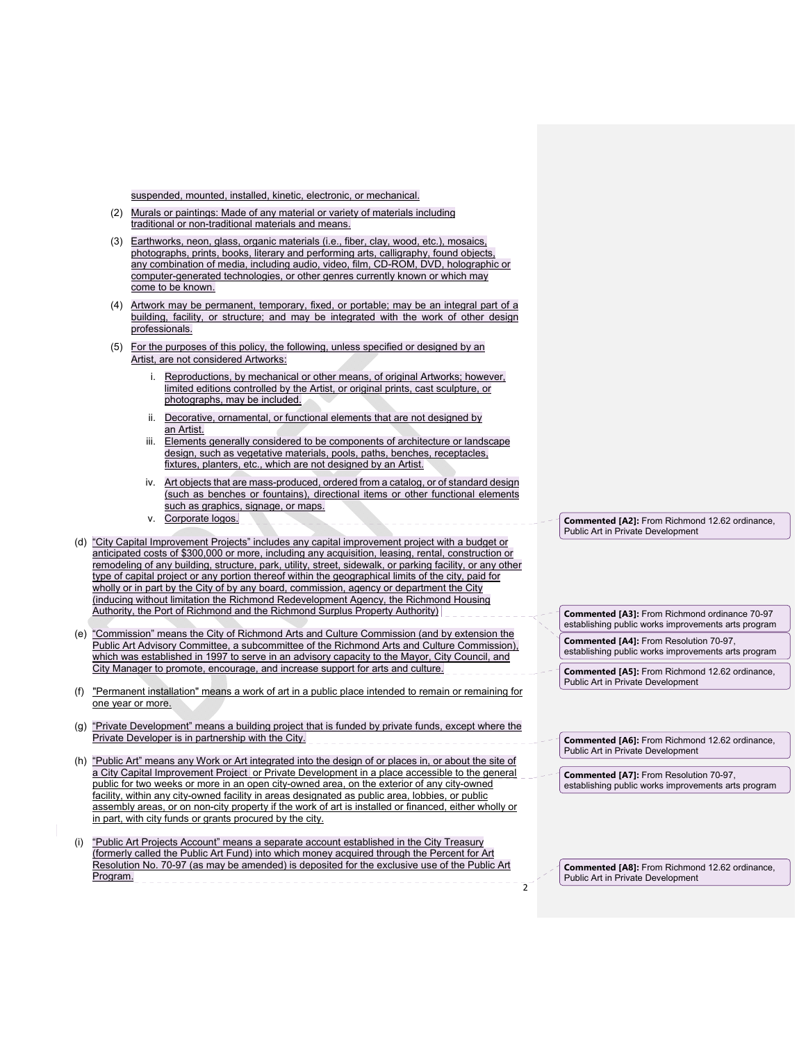suspended, mounted, installed, kinetic, electronic, or mechanical.

- (2) Murals or paintings: Made of any material or variety of materials including traditional or non-traditional materials and means.
- (3) Earthworks, neon, glass, organic materials (i.e., fiber, clay, wood, etc.), mosaics, photographs, prints, books, literary and performing arts, calligraphy, found objects, any combination of media, including audio, video, film, CD-ROM, DVD, holographic or computer-generated technologies, or other genres currently known or which may come to be known.
- (4) Artwork may be permanent, temporary, fixed, or portable; may be an integral part of a building, facility, or structure; and may be integrated with the work of other design professionals.
- (5) For the purposes of this policy, the following, unless specified or designed by an Artist, are not considered Artworks:
	- i. Reproductions, by mechanical or other means, of original Artworks; however, limited editions controlled by the Artist, or original prints, cast sculpture, or photographs, may be included.
	- ii. Decorative, ornamental, or functional elements that are not designed by an Artist.
	- iii. Elements generally considered to be components of architecture or landscape design, such as vegetative materials, pools, paths, benches, receptacles, fixtures, planters, etc., which are not designed by an Artist.
	- iv. Art objects that are mass-produced, ordered from a catalog, or of standard design (such as benches or fountains), directional items or other functional elements such as graphics, signage, or maps.
	- v. Corporate logos.
- (d) "City Capital Improvement Projects" includes any capital improvement project with a budget or anticipated costs of \$300,000 or more, including any acquisition, leasing, rental, construction or remodeling of any building, structure, park, utility, street, sidewalk, or parking facility, or any other type of capital project or any portion thereof within the geographical limits of the city, paid for wholly or in part by the City of by any board, commission, agency or department the City (inducing without limitation the Richmond Redevelopment Agency, the Richmond Housing Authority, the Port of Richmond and the Richmond Surplus Property Authority)
- (e) "Commission" means the City of Richmond Arts and Culture Commission (and by extension the Public Art Advisory Committee, a subcommittee of the Richmond Arts and Culture Commission), which was established in 1997 to serve in an advisory capacity to the Mayor, City Council, and City Manager to promote, encourage, and increase support for arts and culture.
- (f) "Permanent installation" means a work of art in a public place intended to remain or remaining for one year or more.
- (g) "Private Development" means a building project that is funded by private funds, except where the Private Developer is in partnership with the City.
- (h) "Public Art" means any Work or Art integrated into the design of or places in, or about the site of a City Capital Improvement Project or Private Development in a place accessible to the general public for two weeks or more in an open city-owned area, on the exterior of any city-owned facility, within any city-owned facility in areas designated as public area, lobbies, or public assembly areas, or on non-city property if the work of art is installed or financed, either wholly or in part, with city funds or grants procured by the city.
- "Public Art Projects Account" means a separate account established in the City Treasury (formerly called the Public Art Fund) into which money acquired through the Percent for Art Resolution No. 70-97 (as may be amended) is deposited for the exclusive use of the Public Art Program. \_\_\_\_\_\_\_\_\_\_\_\_\_\_\_\_\_\_\_\_\_\_\_\_\_  $\overline{2}$

**Commented [A2]:** From Richmond 12.62 ordinance, Public Art in Private Development

**Commented [A3]:** From Richmond ordinance 70-97 establishing public works improvements arts program

**Commented [A4]:** From Resolution 70-97, establishing public works improvements arts program

**Commented [A5]:** From Richmond 12.62 ordinance, Public Art in Private Development

**Commented [A6]:** From Richmond 12.62 ordinance, Public Art in Private Development

**Commented [A7]:** From Resolution 70-97, establishing public works improvements arts program

**Commented [A8]:** From Richmond 12.62 ordinance, Public Art in Private Development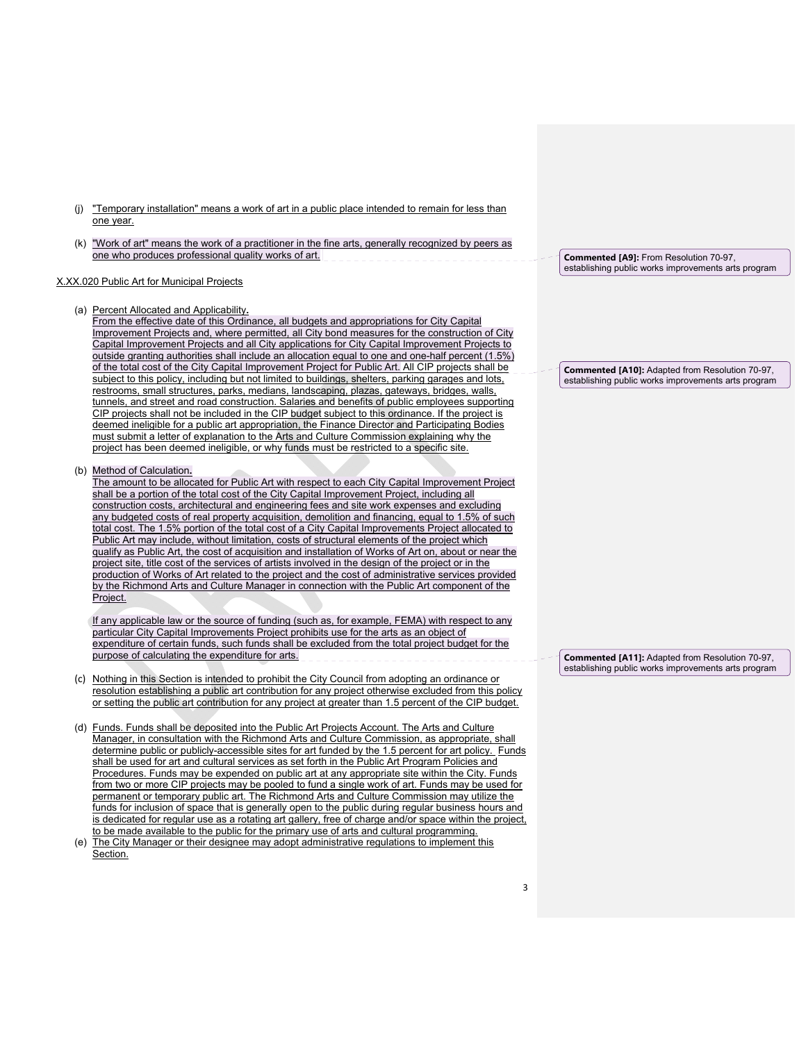- (j) "Temporary installation" means a work of art in a public place intended to remain for less than one year.
- (k) "Work of art" means the work of a practitioner in the fine arts, generally recognized by peers as one who produces professional quality works of art.

### X.XX.020 Public Art for Municipal Projects

### (a) Percent Allocated and Applicability**.**

From the effective date of this Ordinance, all budgets and appropriations for City Capital Improvement Projects and, where permitted, all City bond measures for the construction of City Capital Improvement Projects and all City applications for City Capital Improvement Projects to outside granting authorities shall include an allocation equal to one and one-half percent (1.5%) of the total cost of the City Capital Improvement Project for Public Art. All CIP projects shall be subject to this policy, including but not limited to buildings, shelters, parking garages and lots, restrooms, small structures, parks, medians, landscaping, plazas, gateways, bridges, walls, tunnels, and street and road construction. Salaries and benefits of public employees supporting CIP projects shall not be included in the CIP budget subject to this ordinance. If the project is deemed ineligible for a public art appropriation, the Finance Director and Participating Bodies must submit a letter of explanation to the Arts and Culture Commission explaining why the project has been deemed ineligible, or why funds must be restricted to a specific site.

#### (b) Method of Calculation**.**

The amount to be allocated for Public Art with respect to each City Capital Improvement Project shall be a portion of the total cost of the City Capital Improvement Project, including all construction costs, architectural and engineering fees and site work expenses and excluding any budgeted costs of real property acquisition, demolition and financing, equal to 1.5% of such total cost. The 1.5% portion of the total cost of a City Capital Improvements Project allocated to Public Art may include, without limitation, costs of structural elements of the project which qualify as Public Art, the cost of acquisition and installation of Works of Art on, about or near the project site, title cost of the services of artists involved in the design of the project or in the production of Works of Art related to the project and the cost of administrative services provided by the Richmond Arts and Culture Manager in connection with the Public Art component of the Project.

If any applicable law or the source of funding (such as, for example, FEMA) with respect to any particular City Capital Improvements Project prohibits use for the arts as an object of expenditure of certain funds, such funds shall be excluded from the total project budget for the purpose of calculating the expenditure for arts.

- (c) Nothing in this Section is intended to prohibit the City Council from adopting an ordinance or resolution establishing a public art contribution for any project otherwise excluded from this policy or setting the public art contribution for any project at greater than 1.5 percent of the CIP budget.
- (d) Funds. Funds shall be deposited into the Public Art Projects Account. The Arts and Culture Manager, in consultation with the Richmond Arts and Culture Commission, as appropriate, shall determine public or publicly-accessible sites for art funded by the 1.5 percent for art policy. Funds shall be used for art and cultural services as set forth in the Public Art Program Policies and Procedures. Funds may be expended on public art at any appropriate site within the City. Funds from two or more CIP projects may be pooled to fund a single work of art. Funds may be used for permanent or temporary public art. The Richmond Arts and Culture Commission may utilize the funds for inclusion of space that is generally open to the public during regular business hours and is dedicated for regular use as a rotating art gallery, free of charge and/or space within the project, to be made available to the public for the primary use of arts and cultural programming.
- (e) The City Manager or their designee may adopt administrative regulations to implement this Section.

**Commented [A9]:** From Resolution 70-97, establishing public works improvements arts program

**Commented [A10]:** Adapted from Resolution 70-97, establishing public works improvements arts program

**Commented [A11]:** Adapted from Resolution 70-97, establishing public works improvements arts program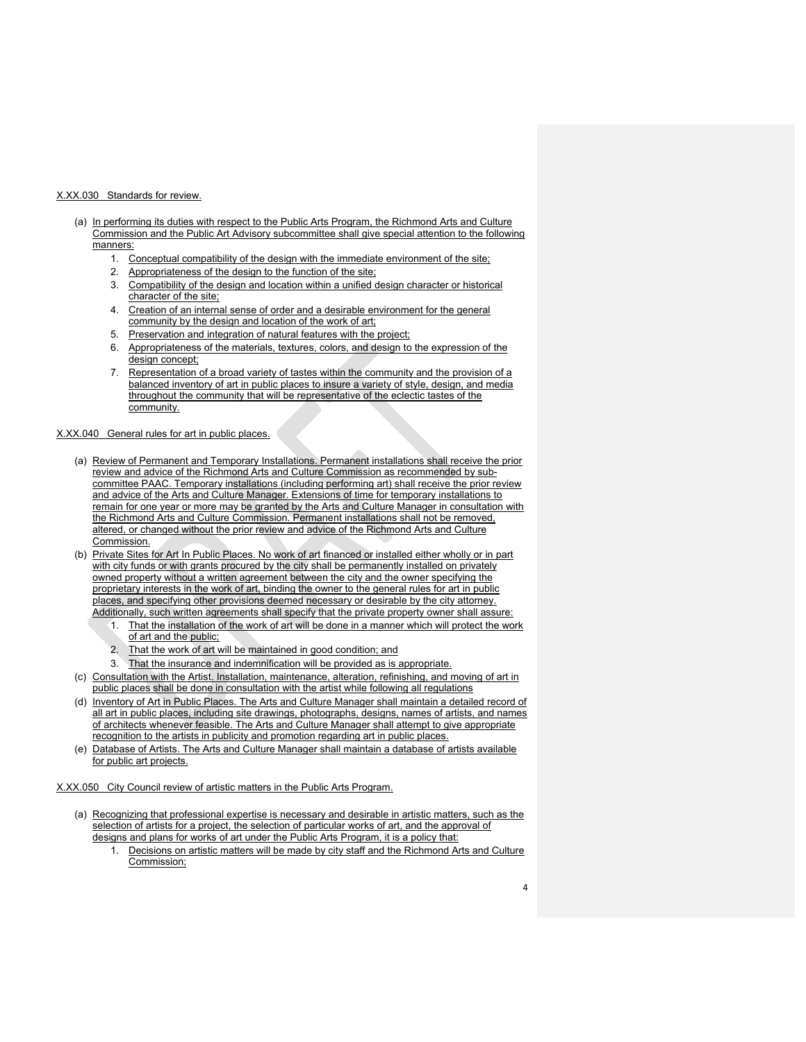### X.XX.030 Standards for review.

- (a) In performing its duties with respect to the Public Arts Program, the Richmond Arts and Culture Commission and the Public Art Advisory subcommittee shall give special attention to the following manners:
	- 1. Conceptual compatibility of the design with the immediate environment of the site;
	- 2. Appropriateness of the design to the function of the site;
	- 3. Compatibility of the design and location within a unified design character or historical character of the site;
	- 4. Creation of an internal sense of order and a desirable environment for the general community by the design and location of the work of art;
	- 5. Preservation and integration of natural features with the project;
	- 6. Appropriateness of the materials, textures, colors, and design to the expression of the design concept;
	- 7. Representation of a broad variety of tastes within the community and the provision of a balanced inventory of art in public places to insure a variety of style, design, and media throughout the community that will be representative of the eclectic tastes of the community.

### X.XX.040 General rules for art in public places.

- (a) Review of Permanent and Temporary Installations. Permanent installations shall receive the prior review and advice of the Richmond Arts and Culture Commission as recommended by subcommittee PAAC. Temporary installations (including performing art) shall receive the prior review and advice of the Arts and Culture Manager. Extensions of time for temporary installations to remain for one year or more may be granted by the Arts and Culture Manager in consultation with the Richmond Arts and Culture Commission. Permanent installations shall not be removed, altered, or changed without the prior review and advice of the Richmond Arts and Culture Commission.
- (b) Private Sites for Art In Public Places. No work of art financed or installed either wholly or in part with city funds or with grants procured by the city shall be permanently installed on privately owned property without a written agreement between the city and the owner specifying the proprietary interests in the work of art, binding the owner to the general rules for art in public places, and specifying other provisions deemed necessary or desirable by the city attorney. Additionally, such written agreements shall specify that the private property owner shall assure:
	- 1. That the installation of the work of art will be done in a manner which will protect the work of art and the public;
	- 2. That the work of art will be maintained in good condition; and
	- 3. That the insurance and indemnification will be provided as is appropriate.
- (c) Consultation with the Artist. Installation, maintenance, alteration, refinishing, and moving of art in public places shall be done in consultation with the artist while following all regulations
- (d) Inventory of Art in Public Places. The Arts and Culture Manager shall maintain a detailed record of all art in public places, including site drawings, photographs, designs, names of artists, and names of architects whenever feasible. The Arts and Culture Manager shall attempt to give appropriate recognition to the artists in publicity and promotion regarding art in public places.
- (e) Database of Artists. The Arts and Culture Manager shall maintain a database of artists available for public art projects.

X.XX.050 City Council review of artistic matters in the Public Arts Program.

- (a) Recognizing that professional expertise is necessary and desirable in artistic matters, such as the selection of artists for a project, the selection of particular works of art, and the approval of designs and plans for works of art under the Public Arts Program, it is a policy that:
	- 1. Decisions on artistic matters will be made by city staff and the Richmond Arts and Culture Commission;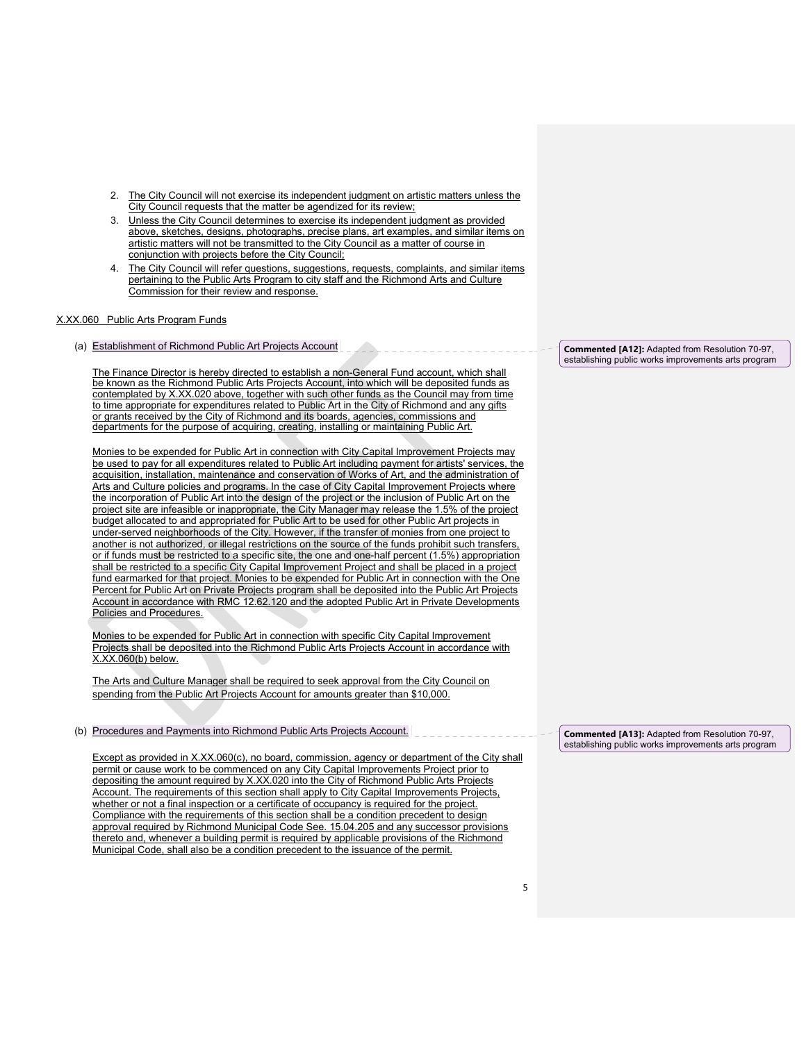- 2. The City Council will not exercise its independent judgment on artistic matters unless the City Council requests that the matter be agendized for its review;
- 3. Unless the City Council determines to exercise its independent judgment as provided above, sketches, designs, photographs, precise plans, art examples, and similar items on artistic matters will not be transmitted to the City Council as a matter of course in conjunction with projects before the City Council;
- 4. The City Council will refer questions, suggestions, requests, complaints, and similar items pertaining to the Public Arts Program to city staff and the Richmond Arts and Culture Commission for their review and response.

# X.XX.060 Public Arts Program Funds

(a) Establishment of Richmond Public Art Projects Account

The Finance Director is hereby directed to establish a non-General Fund account, which shall be known as the Richmond Public Arts Projects Account, into which will be deposited funds as contemplated by X.XX.020 above, together with such other funds as the Council may from time to time appropriate for expenditures related to Public Art in the City of Richmond and any gifts or grants received by the City of Richmond and its boards, agencies, commissions and departments for the purpose of acquiring, creating, installing or maintaining Public Art.

Monies to be expended for Public Art in connection with City Capital Improvement Projects may be used to pay for all expenditures related to Public Art including payment for artists' services, the acquisition, installation, maintenance and conservation of Works of Art, and the administration of Arts and Culture policies and programs. In the case of City Capital Improvement Projects where the incorporation of Public Art into the design of the project or the inclusion of Public Art on the project site are infeasible or inappropriate, the City Manager may release the 1.5% of the project budget allocated to and appropriated for Public Art to be used for other Public Art projects in under-served neighborhoods of the City. However, if the transfer of monies from one project to another is not authorized, or illegal restrictions on the source of the funds prohibit such transfers, or if funds must be restricted to a specific site, the one and one-half percent (1.5%) appropriation shall be restricted to a specific City Capital Improvement Project and shall be placed in a project fund earmarked for that project. Monies to be expended for Public Art in connection with the One Percent for Public Art on Private Projects program shall be deposited into the Public Art Projects Account in accordance with RMC 12.62.120 and the adopted Public Art in Private Developments Policies and Procedures.

Monies to be expended for Public Art in connection with specific City Capital Improvement Projects shall be deposited into the Richmond Public Arts Projects Account in accordance with X.XX.060(b) below.

The Arts and Culture Manager shall be required to seek approval from the City Council on spending from the Public Art Projects Account for amounts greater than \$10,000.

# (b) Procedures and Payments into Richmond Public Arts Projects Account.

Except as provided in X.XX.060(c), no board, commission, agency or department of the City shall permit or cause work to be commenced on any City Capital Improvements Project prior to depositing the amount required by X.XX.020 into the City of Richmond Public Arts Projects Account. The requirements of this section shall apply to City Capital Improvements Projects, whether or not a final inspection or a certificate of occupancy is required for the project. Compliance with the requirements of this section shall be a condition precedent to design approval required by Richmond Municipal Code See. 15.04.205 and any successor provisions thereto and, whenever a building permit is required by applicable provisions of the Richmond Municipal Code, shall also be a condition precedent to the issuance of the permit.

**Commented [A12]:** Adapted from Resolution 70-97, establishing public works improvements arts program

**Commented [A13]:** Adapted from Resolution 70-97, establishing public works improvements arts program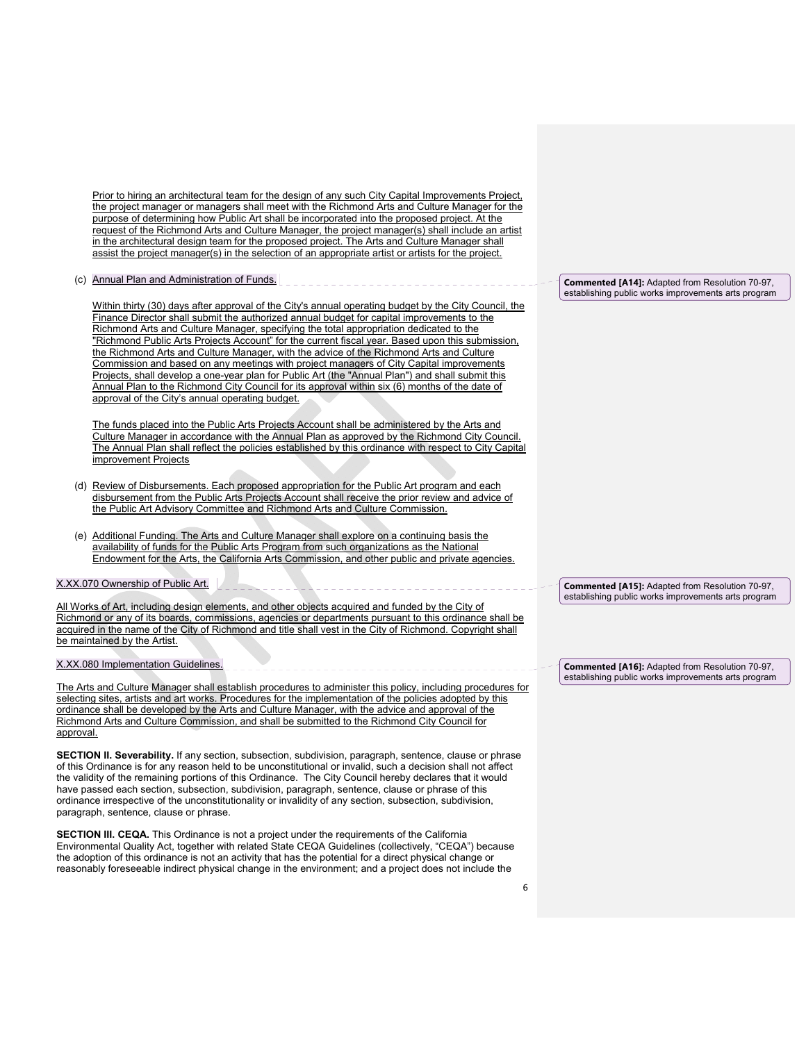Prior to hiring an architectural team for the design of any such City Capital Improvements Project, the project manager or managers shall meet with the Richmond Arts and Culture Manager for the purpose of determining how Public Art shall be incorporated into the proposed project. At the request of the Richmond Arts and Culture Manager, the project manager(s) shall include an artist in the architectural design team for the proposed project. The Arts and Culture Manager shall assist the project manager(s) in the selection of an appropriate artist or artists for the project.

(c) Annual Plan and Administration of Funds.

Within thirty (30) days after approval of the City's annual operating budget by the City Council, the Finance Director shall submit the authorized annual budget for capital improvements to the Richmond Arts and Culture Manager, specifying the total appropriation dedicated to the "Richmond Public Arts Projects Account" for the current fiscal year. Based upon this submission, the Richmond Arts and Culture Manager, with the advice of the Richmond Arts and Culture Commission and based on any meetings with project managers of City Capital improvements Projects, shall develop a one-year plan for Public Art (the "Annual Plan") and shall submit this Annual Plan to the Richmond City Council for its approval within six (6) months of the date of approval of the City's annual operating budget.

The funds placed into the Public Arts Projects Account shall be administered by the Arts and Culture Manager in accordance with the Annual Plan as approved by the Richmond City Council. The Annual Plan shall reflect the policies established by this ordinance with respect to City Capital improvement Projects

- (d) Review of Disbursements. Each proposed appropriation for the Public Art program and each disbursement from the Public Arts Projects Account shall receive the prior review and advice of the Public Art Advisory Committee and Richmond Arts and Culture Commission.
- (e) Additional Funding. The Arts and Culture Manager shall explore on a continuing basis the availability of funds for the Public Arts Program from such organizations as the National Endowment for the Arts, the California Arts Commission, and other public and private agencies.

X.XX.070 Ownership of Public Art.

All Works of Art, including design elements, and other objects acquired and funded by the City of Richmond or any of its boards, commissions, agencies or departments pursuant to this ordinance shall be acquired in the name of the City of Richmond and title shall vest in the City of Richmond. Copyright shall be maintained by the Artist.

X.XX.080 Implementation Guidelines.

The Arts and Culture Manager shall establish procedures to administer this policy, including procedures for selecting sites, artists and art works. Procedures for the implementation of the policies adopted by this ordinance shall be developed by the Arts and Culture Manager, with the advice and approval of the Richmond Arts and Culture Commission, and shall be submitted to the Richmond City Council for approval.

**SECTION II. Severability.** If any section, subsection, subdivision, paragraph, sentence, clause or phrase of this Ordinance is for any reason held to be unconstitutional or invalid, such a decision shall not affect the validity of the remaining portions of this Ordinance. The City Council hereby declares that it would have passed each section, subsection, subdivision, paragraph, sentence, clause or phrase of this ordinance irrespective of the unconstitutionality or invalidity of any section, subsection, subdivision, paragraph, sentence, clause or phrase.

**SECTION III. CEQA.** This Ordinance is not a project under the requirements of the California Environmental Quality Act, together with related State CEQA Guidelines (collectively, "CEQA") because the adoption of this ordinance is not an activity that has the potential for a direct physical change or reasonably foreseeable indirect physical change in the environment; and a project does not include the

**Commented [A14]:** Adapted from Resolution 70-97, establishing public works improvements arts program

**Commented [A15]:** Adapted from Resolution 70-97, establishing public works improvements arts program

**Commented [A16]:** Adapted from Resolution 70-97, establishing public works improvements arts program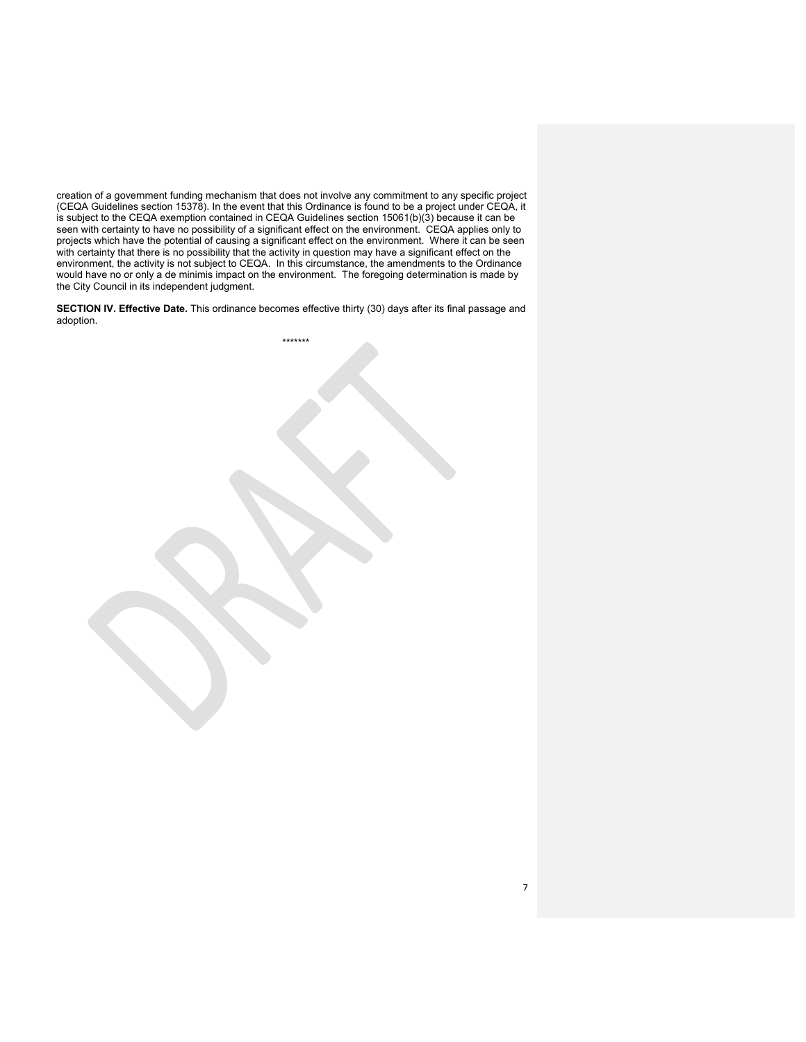creation of a government funding mechanism that does not involve any commitment to any specific project (CEQA Guidelines section 15378). In the event that this Ordinance is found to be a project under CEQA, it is subject to the CEQA exemption contained in CEQA Guidelines section 15061(b)(3) because it can be seen with certainty to have no possibility of a significant effect on the environment. CEQA applies only to projects which have the potential of causing a significant effect on the environment. Where it can be seen with certainty that there is no possibility that the activity in question may have a significant effect on the environment, the activity is not subject to CEQA. In this circumstance, the amendments to the Ordinance would have no or only a de minimis impact on the environment. The foregoing determination is made by the City Council in its independent judgment.

**SECTION IV. Effective Date.** This ordinance becomes effective thirty (30) days after its final passage and adoption.

\*\*\*\*\*\*\*